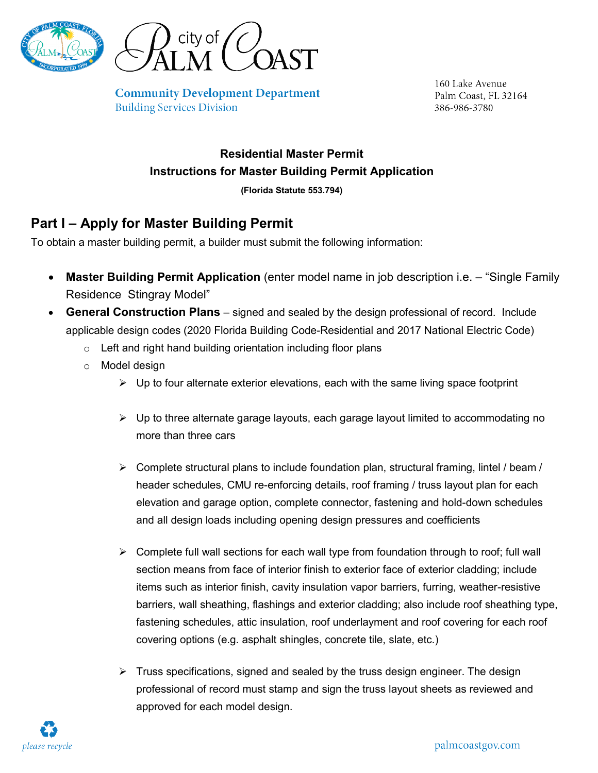

**Community Development Department Building Services Division** 

160 Lake Avenue Palm Coast, FL 32164 386-986-3780

## **Residential Master Permit Instructions for Master Building Permit Application**

**(Florida Statute 553.794)**

## **Part I – Apply for Master Building Permit**

To obtain a master building permit, a builder must submit the following information:

- **Master Building Permit Application** (enter model name in job description i.e. "Single Family Residence Stingray Model"
- **General Construction Plans** signed and sealed by the design professional of record. Include applicable design codes (2020 Florida Building Code-Residential and 2017 National Electric Code)
	- $\circ$  Left and right hand building orientation including floor plans
	- o Model design
		- $\triangleright$  Up to four alternate exterior elevations, each with the same living space footprint
		- $\triangleright$  Up to three alternate garage layouts, each garage layout limited to accommodating no more than three cars
		- $\triangleright$  Complete structural plans to include foundation plan, structural framing, lintel / beam / header schedules, CMU re-enforcing details, roof framing / truss layout plan for each elevation and garage option, complete connector, fastening and hold-down schedules and all design loads including opening design pressures and coefficients
		- $\triangleright$  Complete full wall sections for each wall type from foundation through to roof; full wall section means from face of interior finish to exterior face of exterior cladding; include items such as interior finish, cavity insulation vapor barriers, furring, weather-resistive barriers, wall sheathing, flashings and exterior cladding; also include roof sheathing type, fastening schedules, attic insulation, roof underlayment and roof covering for each roof covering options (e.g. asphalt shingles, concrete tile, slate, etc.)
		- $\triangleright$  Truss specifications, signed and sealed by the truss design engineer. The design professional of record must stamp and sign the truss layout sheets as reviewed and approved for each model design.

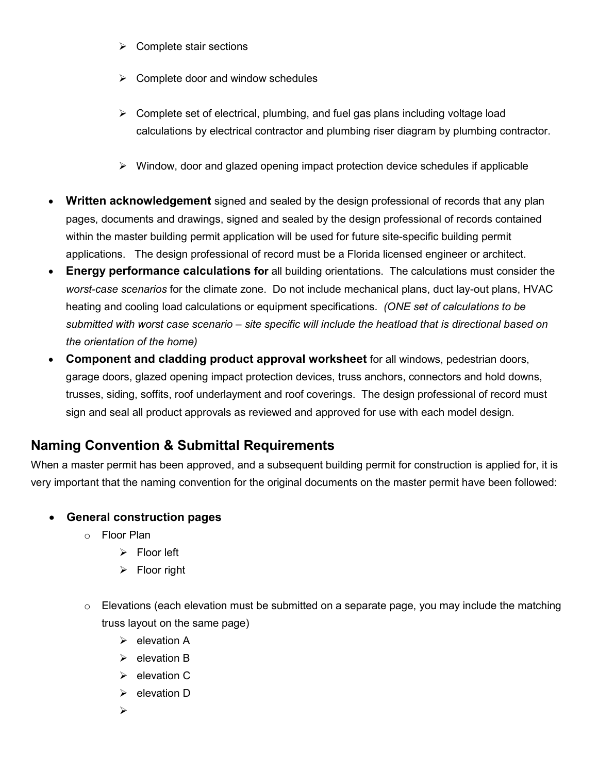- $\triangleright$  Complete stair sections
- $\triangleright$  Complete door and window schedules
- $\triangleright$  Complete set of electrical, plumbing, and fuel gas plans including voltage load calculations by electrical contractor and plumbing riser diagram by plumbing contractor.
- $\triangleright$  Window, door and glazed opening impact protection device schedules if applicable
- **Written acknowledgement** signed and sealed by the design professional of records that any plan pages, documents and drawings, signed and sealed by the design professional of records contained within the master building permit application will be used for future site-specific building permit applications. The design professional of record must be a Florida licensed engineer or architect.
- **Energy performance calculations for** all building orientations. The calculations must consider the *worst-case scenarios* for the climate zone. Do not include mechanical plans, duct lay-out plans, HVAC heating and cooling load calculations or equipment specifications. *(ONE set of calculations to be submitted with worst case scenario – site specific will include the heatload that is directional based on the orientation of the home)*
- **Component and cladding product approval worksheet** for all windows, pedestrian doors, garage doors, glazed opening impact protection devices, truss anchors, connectors and hold downs, trusses, siding, soffits, roof underlayment and roof coverings. The design professional of record must sign and seal all product approvals as reviewed and approved for use with each model design.

## **Naming Convention & Submittal Requirements**

When a master permit has been approved, and a subsequent building permit for construction is applied for, it is very important that the naming convention for the original documents on the master permit have been followed:

#### • **General construction pages**

- o Floor Plan
	- $\triangleright$  Floor left
	- $\triangleright$  Floor right
- $\circ$  Elevations (each elevation must be submitted on a separate page, you may include the matching truss layout on the same page)
	- $\triangleright$  elevation A
	- $\triangleright$  elevation B
	- $\triangleright$  elevation C
	- $\triangleright$  elevation D
	- $\blacktriangleright$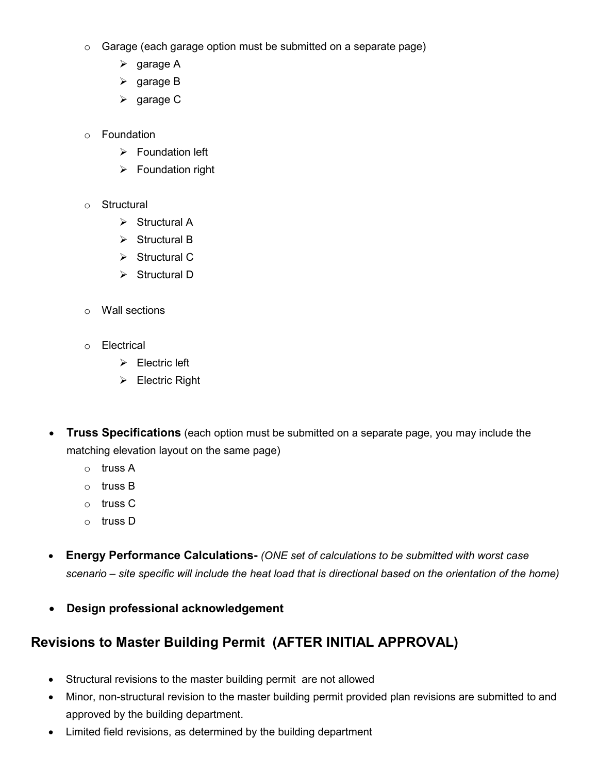- o Garage (each garage option must be submitted on a separate page)
	- $\triangleright$  garage A
	- $\triangleright$  garage B
	- $\triangleright$  garage C
- o Foundation
	- $\triangleright$  Foundation left
	- $\triangleright$  Foundation right
- o Structural
	- $\triangleright$  Structural A
	- $\triangleright$  Structural B
	- $\triangleright$  Structural C
	- $\triangleright$  Structural D
- o Wall sections
- o Electrical
	- $\triangleright$  Electric left
	- $\triangleright$  Electric Right
- **Truss Specifications** (each option must be submitted on a separate page, you may include the matching elevation layout on the same page)
	- o truss A
	- o truss B
	- o truss C
	- o truss D
- **Energy Performance Calculations-** *(ONE set of calculations to be submitted with worst case scenario – site specific will include the heat load that is directional based on the orientation of the home)*
- **Design professional acknowledgement**

# **Revisions to Master Building Permit (AFTER INITIAL APPROVAL)**

- Structural revisions to the master building permit are not allowed
- Minor, non-structural revision to the master building permit provided plan revisions are submitted to and approved by the building department.
- Limited field revisions, as determined by the building department